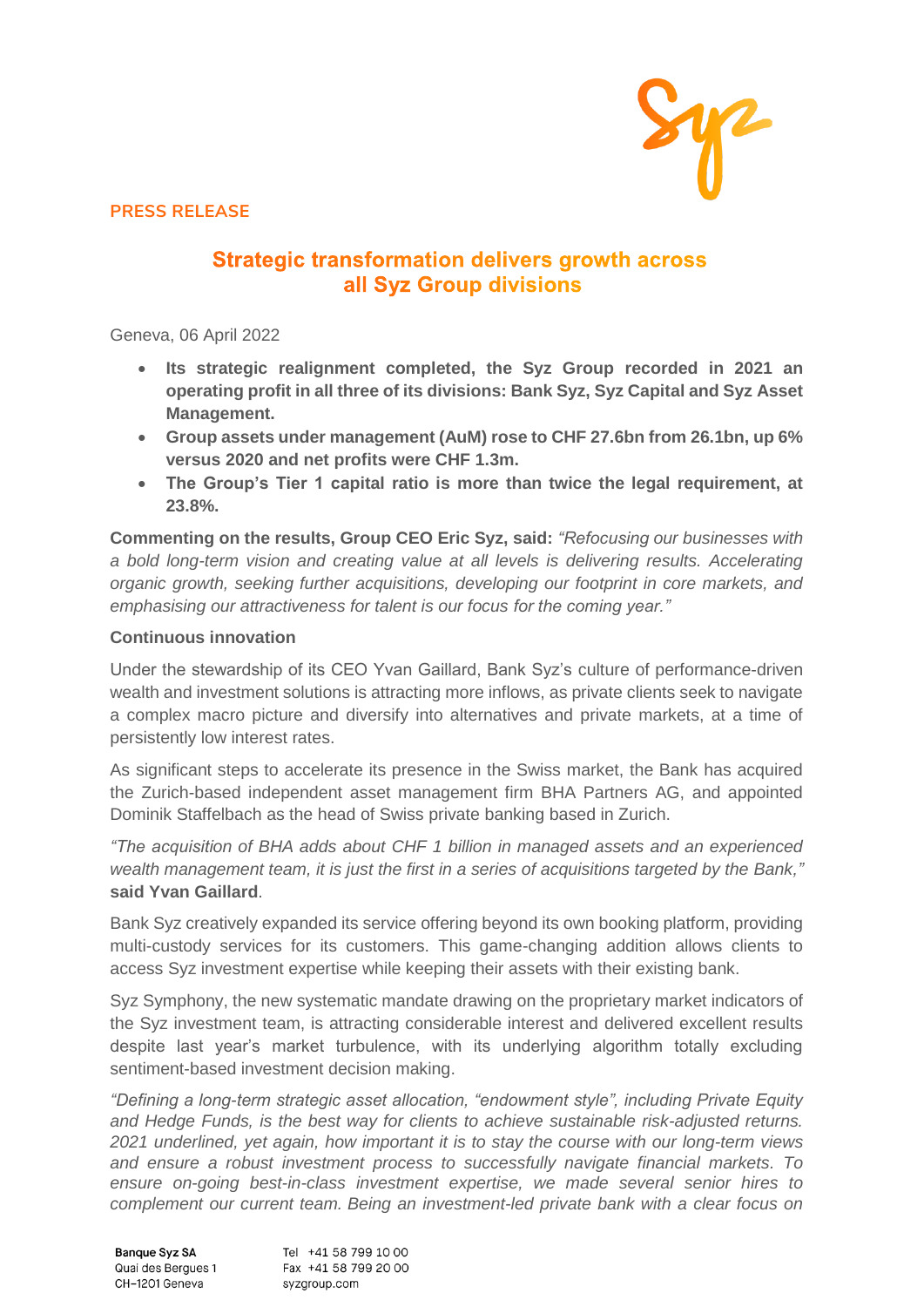

**PRESS RELEASE**

# **Strategic transformation delivers growth across** all Syz Group divisions

Geneva, 06 April 2022

- **Its strategic realignment completed, the Syz Group recorded in 2021 an operating profit in all three of its divisions: Bank Syz, Syz Capital and Syz Asset Management.**
- **Group assets under management (AuM) rose to CHF 27.6bn from 26.1bn, up 6% versus 2020 and net profits were CHF 1.3m.**
- **The Group's Tier 1 capital ratio is more than twice the legal requirement, at 23.8%.**

**Commenting on the results, Group CEO Eric Syz, said:** *"Refocusing our businesses with a bold long-term vision and creating value at all levels is delivering results. Accelerating organic growth, seeking further acquisitions, developing our footprint in core markets, and emphasising our attractiveness for talent is our focus for the coming year."*

### **Continuous innovation**

Under the stewardship of its CEO Yvan Gaillard, Bank Syz's culture of performance-driven wealth and investment solutions is attracting more inflows, as private clients seek to navigate a complex macro picture and diversify into alternatives and private markets, at a time of persistently low interest rates.

As significant steps to accelerate its presence in the Swiss market, the Bank has acquired the Zurich-based independent asset management firm BHA Partners AG, and appointed Dominik Staffelbach as the head of Swiss private banking based in Zurich.

*"The acquisition of BHA adds about CHF 1 billion in managed assets and an experienced wealth management team, it is just the first in a series of acquisitions targeted by the Bank,"* **said Yvan Gaillard**.

Bank Syz creatively expanded its service offering beyond its own booking platform, providing multi-custody services for its customers. This game-changing addition allows clients to access Syz investment expertise while keeping their assets with their existing bank.

Syz Symphony, the new systematic mandate drawing on the proprietary market indicators of the Syz investment team, is attracting considerable interest and delivered excellent results despite last year's market turbulence, with its underlying algorithm totally excluding sentiment-based investment decision making.

*"Defining a long-term strategic asset allocation, "endowment style", including Private Equity and Hedge Funds, is the best way for clients to achieve sustainable risk-adjusted returns. 2021 underlined, yet again, how important it is to stay the course with our long-term views and ensure a robust investment process to successfully navigate financial markets. To ensure on-going best-in-class investment expertise, we made several senior hires to complement our current team. Being an investment-led private bank with a clear focus on* 

Tel +41 58 799 10 00 **Banque Syz SA** Quai des Bergues 1 Fax +41 58 799 20 00 CH-1201 Geneva syzgroup.com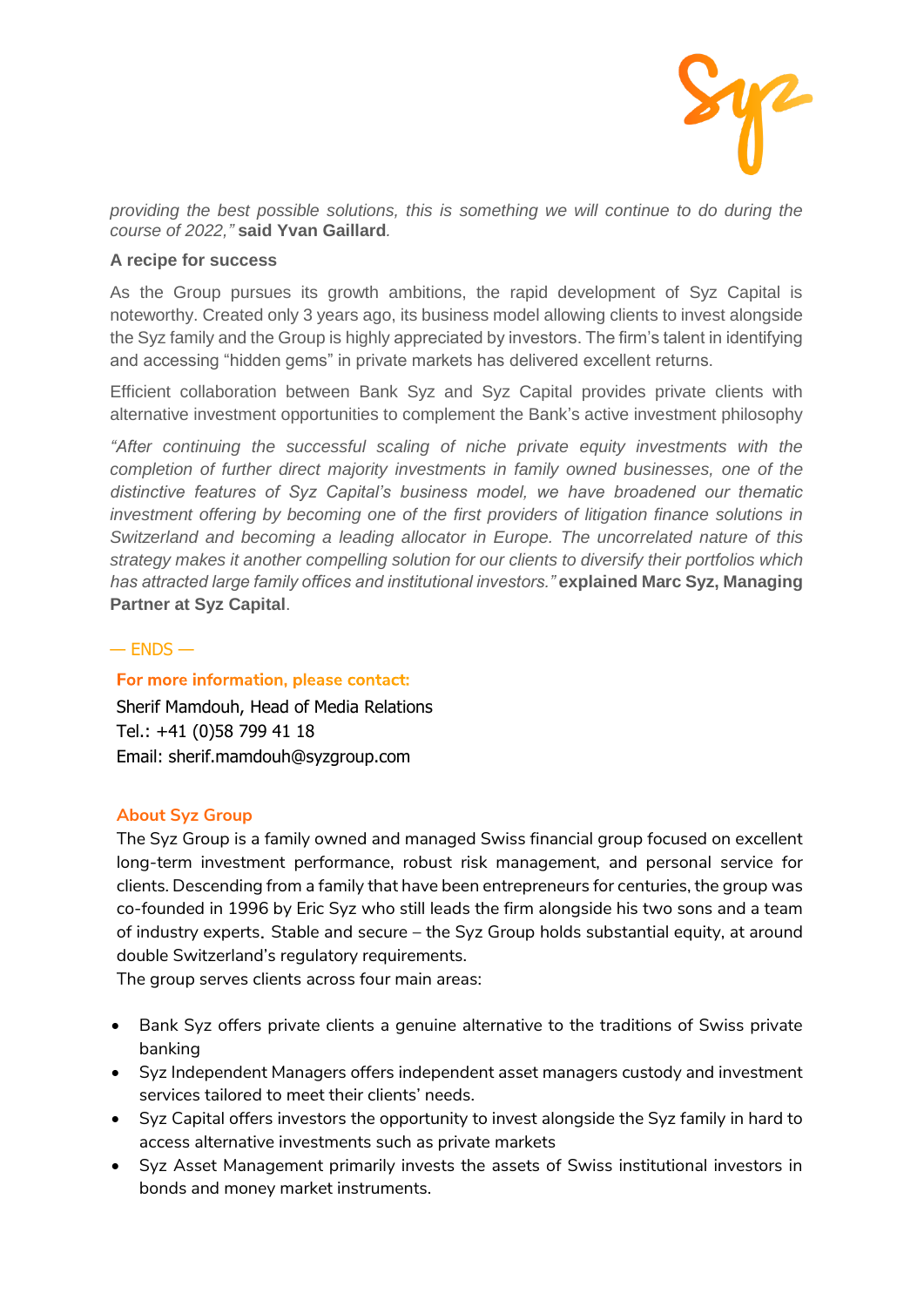

*providing the best possible solutions, this is something we will continue to do during the course of 2022,"* **said Yvan Gaillard***.*

#### **A recipe for success**

As the Group pursues its growth ambitions, the rapid development of Syz Capital is noteworthy. Created only 3 years ago, its business model allowing clients to invest alongside the Syz family and the Group is highly appreciated by investors. The firm's talent in identifying and accessing "hidden gems" in private markets has delivered excellent returns.

Efficient collaboration between Bank Syz and Syz Capital provides private clients with alternative investment opportunities to complement the Bank's active investment philosophy

*"After continuing the successful scaling of niche private equity investments with the completion of further direct majority investments in family owned businesses, one of the distinctive features of Syz Capital's business model, we have broadened our thematic investment offering by becoming one of the first providers of litigation finance solutions in Switzerland and becoming a leading allocator in Europe. The uncorrelated nature of this strategy makes it another compelling solution for our clients to diversify their portfolios which has attracted large family offices and institutional investors."* **explained Marc Syz, Managing Partner at Syz Capital**.

#### $-$  FNDS  $-$

### For more information, please contact:

Sherif Mamdouh, Head of Media Relations Tel.: +41 (0)58 799 41 18 Email: sherif.mamdouh@syzgroup.com

### **About Syz Group**

The Syz Group is a family owned and managed Swiss financial group focused on excellent long-term investment performance, robust risk management, and personal service for clients. Descending from a family that have been entrepreneurs for centuries, the group was co-founded in 1996 by Eric Syz who still leads the firm alongside his two sons and a team of industry experts. Stable and secure – the Syz Group holds substantial equity, at around double Switzerland's regulatory requirements.

The group serves clients across four main areas:

- Bank Syz offers private clients a genuine alternative to the traditions of Swiss private banking
- Syz Independent Managers offers independent asset managers custody and investment services tailored to meet their clients' needs.
- Syz Capital offers investors the opportunity to invest alongside the Syz family in hard to access alternative investments such as private markets
- Syz Asset Management primarily invests the assets of Swiss institutional investors in bonds and money market instruments.